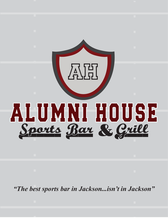

*"The best sports bar in Jackson...isn't in Jackson"*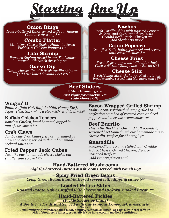

#### Onion Rings

*House-battered Rings served with our famous Comback dressing 850*

#### Combo Platter

*Miniature Cheese Sticks, Hand- battered Pickles, & Chicken Poppers 1150*

#### Thai Shrimp

*Popcorn Shrimp tossed in our Thai sauce served with ranch dressing 895*

### Queso Dip

*Tangy cheese dip with fresh tortilla chips 795 (Add Seasoned Ground Beef 199)*

#### Nachos

*Fresh Tortilla Chips with Roasted Peppers & Corn, and Queso smothered with: Ground Beef - Pork - Chicken 795 (Add Steak 1.00 more)*

#### Cajun Popcorn

*Crawfish Tails, lightly battered and served with cocktail sauce 895*

### Cheese Fries

*Fresh Fries topped with Cheddar Jack Cheese 695 (add Jalapenos or Bacon 050)*

#### Cheese Stix

*Fresh Mozzarella Sticks hand-rolled in Italian bread crumbs; served with Marinara sauce 850*

Beef Sliders *3 Mini Hamburgers Just right for Snackin' 695 (add cheese 075)*

#### Wingin' It

*Plain, Buffalo Hot, Buffalo Mild, Honey BBQ, Tiger, Thai: Six - 795 Twelve - 1095 Eighteen - 1495*

#### Buffalo Chicken Tenders

*Boneless Chicken, hand battered, dipped in any of our sauces 850*

#### Crab Claws

*Jumbo blue Crab Claws fried or marinated in citrus and herbs; served with our homemade cocktail sauce 1095*

### Fried Pepper Jack Cubes

*Just like our homemade cheese sticks, but smaller and spicier! 595*

#### Bacon Wrapped Grilled Shrimp

*Eight Bacon-Wrapped Shrimp grilled to perfection on a bed of roasted corn and red peppers with a creole creme sauce 1295*

### Beef Burrito

*This is the Big One! One and half pounds of seasoned beef topped with our homemade queso cheese dip. Perfect for Sharing! 995*

#### Quesadilla

*Jalapeno Flour Tortilla stuffed with Cheddar & Jack Cheese: Grilled Chicken, Steak or Seasoned Beef 850 (Add Peppers/Onions 050)*

Hand-Battered Mushrooms *Lightly-battered Button Mushrooms served with ranch 695*

#### Spicy Fried Green Beans *Crisp Green Beans hand-battered served with dipping sauce 695*

Loaded Potato Skins *Roasted Potato Halves stuffed with cheese and Hickory-smoked Bacon 795*

#### Hand-Battered Pickles

*(Pickle Spears or Chips)*

*A Southern Tradition! Served with our Famous Comeback dressing 850*

**Notice:**

**Consuming raw or undercooked meat, poultry, seafood, shellfish, or eggs may increase your risk of foodborne illness, especially if you have certain medical conditions**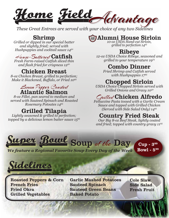

*These Great Entrees are served with your choice of any two Sidelines*

Shrimp *Grilled or dipped in our special batter and slightly fried; served with Hushpuppies and cocktail sauce 1450*

## $\#$ *euse-Battered* Catfish

*Fresh Farm-raised Catfish sliced thin and flash fried for crispness 1250*

## Chicken Breast

*8-oz Chicken Breast, grilled to perfection; Make it Blackened, Buffalo, or Fried 1095*

## Lemon Pepper Crusted Atlantic Salmon

*8-oz Fillet, pan seared to medium and served with Sauteed Spinach and Roasted Rosemary Potoates 1495*

Grilled Tilapia *Lightly seasoned & grilled to perfection; topped by a delicious lemon butter sauce 1595*

#### Alumni House Sirloin AUH

*10-oz USDA Hand-cut Sirloin, grilled to perfection 1495*

Ribeye *12-oz USDA Choice Ribeye, seasoned and grilled to your temperature 1975*

## Combo Dinner

*Fried Shrimp and Catfish served with Hushpuppies 1795*

# Chopped Sirloin *USDA Choice Chopped Sirloin served with*

*Grilled Onions and Gravy 1050*

## Grilled Chicken Alfredo

*Fettuccine Pasta tossed with a Garlic Cream Sauce and topped with Grilled Chicken (Served with Side Salad Only) 1495*

## Country Fried Steak

*Our Big 8-oz Beef Steak, lightly coated and fried; topped with country gravy 1195*



*We feature a Regional Favorite Soup Every Day of the Week* 

Bowl -  $5^{99}$ 



Roasted Peppers & Corn French Fries Fried Okra Grilled Vegetables

Garlic Mashed Potatoes Sauteed Spinach Sauteed Green Beans Baked Potato

Cole Slaw Side Salad Fresh Fruit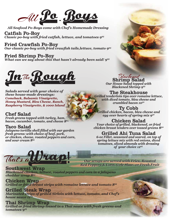*Some with Chef's Homemade Dr*<br>Fried catfish, lettuce, and tomatoes All

*All Seafood Po-Boys come with Chef's Homemade Dressing* Catfish Po-Boy *Classic po-boy with fried catfish, lettuce, and tomatoes 995*

Fried Crawfish Po-Boy *Our classic po-boy with fried crawfish tails,lettuce, tomato 995*

#### Fried Shrimp Po-Boy

*What can we say about this that hasn't already been said! 9<sup>95</sup>*



**Salads served with your choice of** *these house-made dressings: Comeback, Balsamic Vinaigrette,* **Honey Mustard, Bleu Cheese, Ranch,** *Honey Mustard, Bleu Cheese, Ranch, Raspberry Vinaigrette, & 1000 Island*

#### Chef Salad

*bacon, cucumber, tomato, and cheese 8 bacon, cucumber, tomato, and cheese 8<sup>95</sup>*

#### Taco Salad

*Jalapeno tortilla shell filled with our garden fresh greens: with choice of beef, pork, or chicken, cheese, roasted peppers and corn, and sour cream 895*



*<i>Blackened Shrimn*  $0^{95}$ *Blackened Shrimp 9<sup>95</sup>*

#### The Steakhouse

*Grilled tenderloin tips over romaine lettuce, with diffusive to diffuse and the cheminal space and* **crumbled bacon 10<sup>***5***</sup>** 

 $\mathbf{T}\mathbf{y} \mathbf{\text{ } Cobb}$ Grilled chicken, bacon, bleu cheese and *Grilled chicken, bearts of spring mix*  $9^{50}$ *egg over hearts of spring mix 9<sup>50</sup>*

Chicken Salad *<u>Nicken breast tenders over tossed areens S</u> chicken breast tenders over tossed greens 8<sup>50</sup>*

#### Grilled Ahi Tuna Salad

*6-oz Fillet, seasoned and seared, on top of tomatoes, sliced almonds with dressing tomatoes, such almonds with dressing of your choice 12<sup>95</sup>*

*Our wraps are served with Fries, Roasted*

That's a Continues of your choice 12<sup>ys</sup><br> *Our wraps are served with Fries, Roasted*<br> **Southwest Wrap**<br> *Blackened chicken, lettuce, roasted peppers and corn in a jalapeno*<br>
cheddar wrap S<sup>95</sup> *Red Peppers & Corn, Cole Slaw, or Fresh Fruit* Southwest Wrap *Blackened cheddar wrap*  $8^{95}$ *cheddar wrap 895 Red Peppers & Corn, Cole Slaw, or Fresh Fruit*

Chicken Wrap *Grilled or fried breast strips with romaine lettuce and tomato 895*

Grilled Steak Wrap *house squce*  $11^{95}$ *house sauce 1195*

Thai Shrimp Wrap *Grilled or fried shrimp tossed in a Thai sauce with fresh greens and tomatoes 995*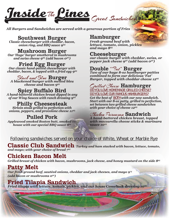

*All Burgers and Sandwiches are served with a generous portion of Fries*

**Southwest Burger**<br>Classic cheeseburger with cheddar, bacon, *Classic cheeseburger with chemical*,  $\frac{1}{2}$  *called squee 0<sup>95</sup>* 

# *onion ring, and BBQ sauce 995*

**Mushroom Burger**<br>Our 'Huge' burger smothered in mushrooms *Currence on the mushroom*<br>*Our smothered on a fadd hacon o<sup>50</sup> and swiss cheese 995 (add bacon 050)*

# Fried Egg Burger<br>Our classic hand-patted cheeseburger with

*Our classic hand-patted cheeseburger with cheddar, bacon, & topped with a fried egg 995*

# Black and Blue **Burger**<br>A blackened burger with melted bleu

*A blackening burger with melting backening backening backening by cheese and bacon*  $9^{95}$ *cheese and bacon 995*

# **Spicy Buffalo Bird**<br>A hand-battered chicken breast dipped in any

*A hand-battered chicken breast dipped in any of our Wing Sauces with ranch dressing 9<sup>95</sup>*

# **Philly Cheesesteak**<br>Sirloin steak grilled to perfection with

*sions, penners, and provolone cheese 1 onions, peppers, and provolone cheese 1195*

**Pulled Pork**<br>Applewood smoked Boston butt, smoked in*house with our special BBO squce 895 house with our special BBQ sauce 895*

# **Hamburger**<br>Fresh ground beef with

*<i><u>Iettuce</u>*, tomato, onion, pickles *details mayo 8<sup>95</sup> <i>details* and mayo 8<sup>95</sup> *and mayo 8<sup>95</sup>*

**Cheeseburger**<br>our classic burger with cheddar, swiss, or *pepper jack cheese 95º (add bacon 05º) pepper jack cheese 950 (add bacon 050)*

**Double** " $7a$ t" **Burger**<br>Two of our huge 8-oz hamburger patties *combined to form our delicious 'Fat' combined to form our delicious 'Fat' Burger, topped with cheddar cheese 1295*

#### Grilled Cheese Hamburger **DO YOU LOVE HOMEMADE GRILLED CHEESE? DO YOU LOVE OUR FAMOUS HAMBURGERS?**

*Get the best of* **BOTH** *with our new sandwich. Start with our 8-oz patty, grilled to perfection, <u>usith vour choice</u> of cheese 12<sup>95</sup> with your choice of cheese 12<sup>95</sup> with yo*

## Chicken Parmesan Sandwich

*A hand-battered chicken breast, topped hand-batt with mozzarella cheese sticks & marinara sauce 1095 sauce* 10<sup>95</sup>

### **Following sandwiches served on your choice of White, Wheat or Marble Rye**

Classic Club Sandwich *Turkey and ham stacked with bacon, lettuce, tomato, and mayo; with your choice of bread 7<sup>95</sup>*

## Chicken Bacon Melt

*Grilled breast of chicken with bacon, mushrooms, jack cheese, and honey mustard on the side 895*

## Patty Melt

*Our fresh ground beef, sautéed onions, cheddar and jack cheeses, and mayo 9<sup>75</sup> (add bacon or mushrooms 050)*

## Fried Tilapia Sandwich

*Fried tilapia with lettuce, tomato, pickles, and our house Comeback dressing 1095*